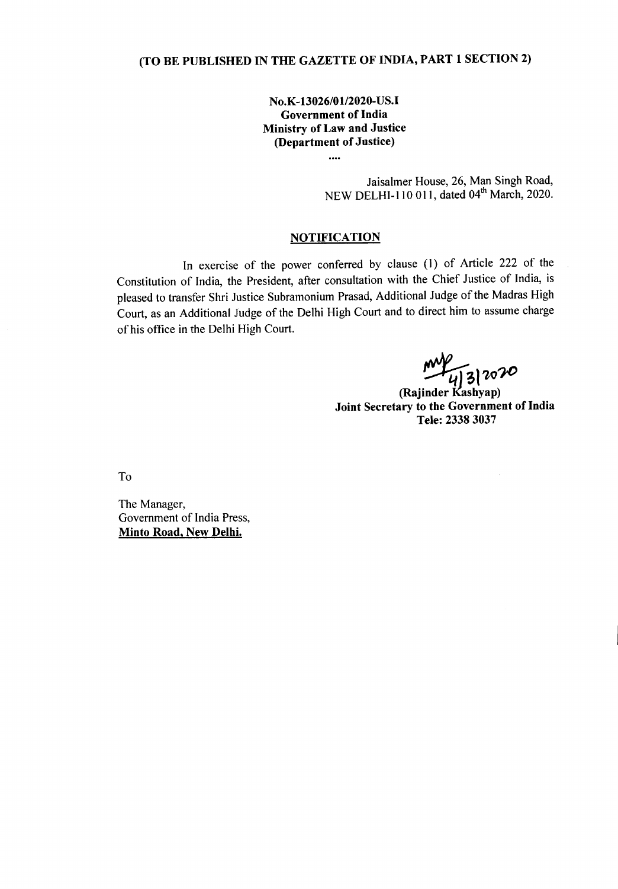## (TO BE PUBLISHED IN THE GAZETTE OF INDIA, PART 1 SECTION 2)

No.K-13026/01/2020-US.I Government of India Ministry of Law and Justice (Department of Justice)

....

Jaisalmer House, 26, Man Singh Road, NEW DELHI-110 011, dated 04<sup>th</sup> March, 2020.

## **NOTIFICATION**

In exercise of the power conferred by clause (1) of Article 222 of the Constitution of India, the President, after consultation with the Chief Justice of India, is pleased to transfer Shri Justice Subramonium Prasad, Additional Judge of the Madras High Court, as an Additional Judge of the Delhi High Court and to direct him to assume charge of his office in the Delhi High Court.

 $\sqrt{\frac{\mu}{4}}$  3  $20\%$ <br>(Rajinder Kashyap)

Joint Secretary to the Government of India Tele: 2338 3037

To

The Manager, Government of India Press, Minto Road, New Delhi.